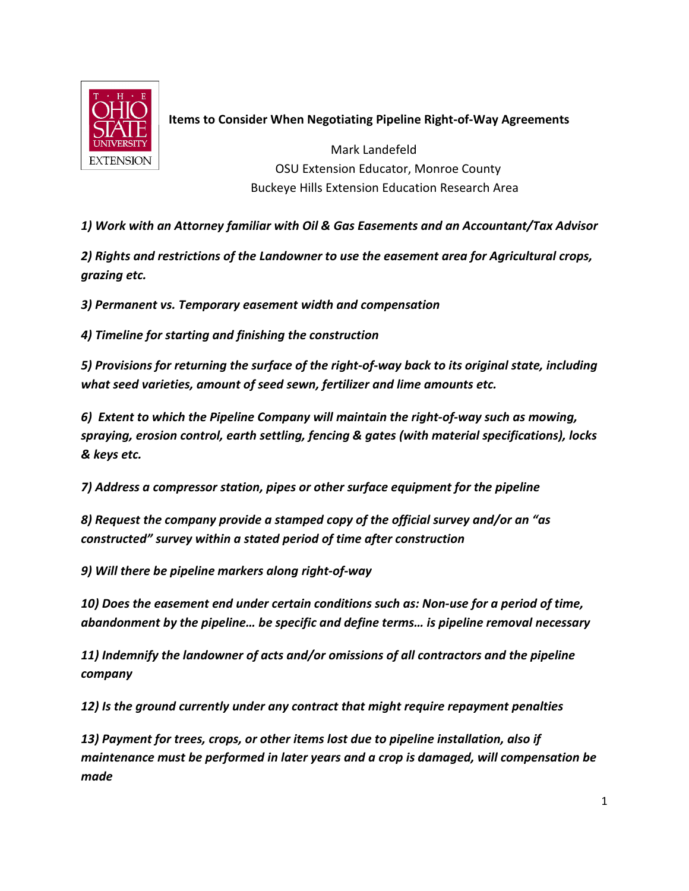

## Items to Consider When Negotiating Pipeline Right-of-Way Agreements

 Mark Landefeld OSU Extension Educator, Monroe County Buckeye Hills Extension Education Research Area

1) Work with an Attorney familiar with Oil & Gas Easements and an Accountant/Tax Advisor

2) Rights and restrictions of the Landowner to use the easement area for Agricultural crops, grazing etc.

3) Permanent vs. Temporary easement width and compensation

4) Timeline for starting and finishing the construction

5) Provisions for returning the surface of the right-of-way back to its original state, including what seed varieties, amount of seed sewn, fertilizer and lime amounts etc.

6) Extent to which the Pipeline Company will maintain the right-of-way such as mowing, spraying, erosion control, earth settling, fencing & gates (with material specifications), locks & keys etc.

7) Address a compressor station, pipes or other surface equipment for the pipeline

8) Request the company provide a stamped copy of the official survey and/or an "as constructed" survey within a stated period of time after construction

9) Will there be pipeline markers along right-of-way

10) Does the easement end under certain conditions such as: Non-use for a period of time, abandonment by the pipeline… be specific and define terms… is pipeline removal necessary

11) Indemnify the landowner of acts and/or omissions of all contractors and the pipeline company

12) Is the ground currently under any contract that might require repayment penalties

13) Payment for trees, crops, or other items lost due to pipeline installation, also if maintenance must be performed in later years and a crop is damaged, will compensation be made